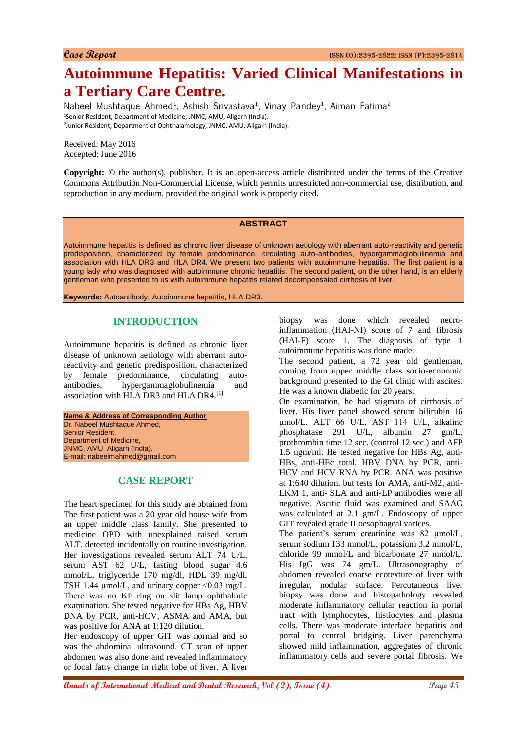# **Autoimmune Hepatitis: Varied Clinical Manifestations in a Tertiary Care Centre.**

Nabeel Mushtaque Ahmed<sup>1</sup>, Ashish Srivastava<sup>1</sup>, Vinay Pandey<sup>1</sup>, Aiman Fatima<sup>2</sup> <sup>1</sup>Senior Resident, Department of Medicine, JNMC, AMU, Aligarh (India). 2 Junior Resident, Department of Ophthalamology, JNMC, AMU, Aligarh (India).

Received: May 2016 Accepted: June 2016

**Copyright:** © the author(s), publisher. It is an open-access article distributed under the terms of the Creative Commons Attribution Non-Commercial License, which permits unrestricted non-commercial use, distribution, and reproduction in any medium, provided the original work is properly cited.

#### **ABSTRACT**

Autoimmune hepatitis is defined as chronic liver disease of unknown aetiology with aberrant auto-reactivity and genetic predisposition, characterized by female predominance, circulating auto-antibodies, hypergammaglobulinemia and association with HLA DR3 and HLA DR4. We present two patients with autoimmune hepatitis. The first patient is a young lady who was diagnosed with autoimmune chronic hepatitis. The second patient, on the other hand, is an elderly gentleman who presented to us with autoimmune hepatitis related decompensated cirrhosis of liver.

**Keywords:** Autoantibody, Autoimmune hepatitis, HLA DR3.

## **INTRODUCTION**

Autoimmune hepatitis is defined as chronic liver disease of unknown aetiology with aberrant autoreactivity and genetic predisposition, characterized by female predominance, circulating autoantibodies, hypergammaglobulinemia and association with HLA DR3 and HLA DR4.[1]

**Name & Address of Corresponding Author** Dr. Nabeel Mushtaque Ahmed, Senior Resident, Department of Medicine, JNMC, AMU, Aligarh (India). E-mail: nabeelmahmed@gmail.com

## **CASE REPORT**

The heart specimen for this study are obtained from The first patient was a 20 year old house wife from an upper middle class family. She presented to medicine OPD with unexplained raised serum ALT, detected incidentally on routine investigation. Her investigations revealed serum ALT 74 U/L, serum AST 62 U/L, fasting blood sugar 4.6 mmol/L, triglyceride 170 mg/dl, HDL 39 mg/dl, TSH 1.44  $\mu$ mol/L, and urinary copper <0.03 mg/L. There was no KF ring on slit lamp ophthalmic examination. She tested negative for HBs Ag, HBV DNA by PCR, anti-HCV, ASMA and AMA, but was positive for ANA at 1:120 dilution.

Her endoscopy of upper GIT was normal and so was the abdominal ultrasound. CT scan of upper abdomen was also done and revealed inflammatory or focal fatty change in right lobe of liver. A liver

biopsy was done which revealed necroinflammation (HAI-NI) score of 7 and fibrosis (HAI-F) score 1. The diagnosis of type 1 autoimmune hepatitis was done made.

The second patient, a 72 year old gentleman, coming from upper middle class socio-economic background presented to the GI clinic with ascites. He was a known diabetic for 20 years.

On examination, he had stigmata of cirrhosis of liver. His liver panel showed serum bilirubin 16 μmol/L, ALT 66 U/L, AST 114 U/L, alkaline phosphatase 291 U/L, albumin 27 gm/L, prothrombin time 12 sec. (control 12 sec.) and AFP 1.5 ngm/ml. He tested negative for HBs Ag, anti-HBs, anti-HBc total, HBV DNA by PCR, anti-HCV and HCV RNA by PCR. ANA was positive at 1:640 dilution, but tests for AMA, anti-M2, anti-LKM 1, anti- SLA and anti-LP antibodies were all negative. Ascitic fluid was examined and SAAG was calculated at 2.1 gm/L. Endoscopy of upper GIT revealed grade II oesophageal varices.

The patient's serum creatinine was 82  $\mu$ mol/L, serum sodium 133 mmol/L, potassium 3.2 mmol/L, chloride 99 mmol/L and bicarbonate 27 mmol/L. His IgG was 74 gm/L. Ultrasonography of abdomen revealed coarse ecotexture of liver with irregular, nodular surface. Percutaneous liver biopsy was done and histopathology revealed moderate inflammatory cellular reaction in portal tract with lymphocytes, histiocytes and plasma cells. There was moderate interface hepatitis and portal to central bridging. Liver parenchyma showed mild inflammation, aggregates of chronic inflammatory cells and severe portal fibrosis. We